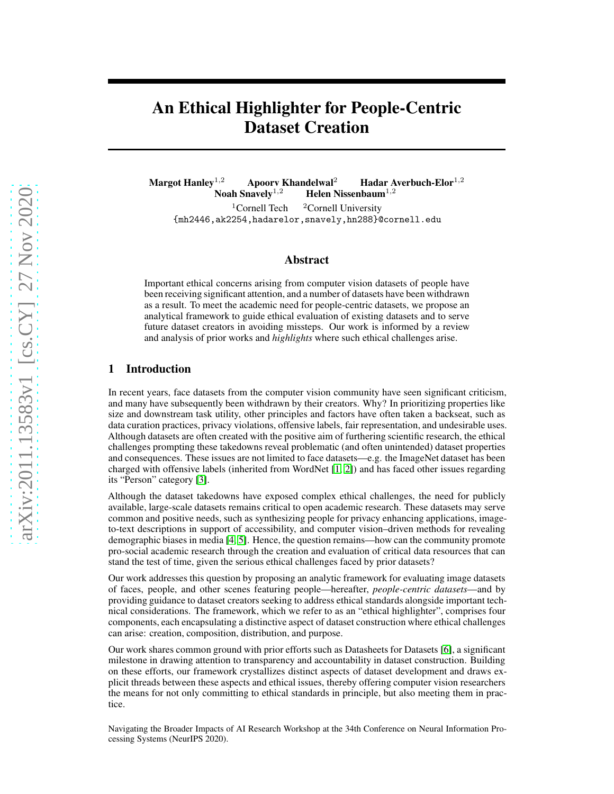# An Ethical Highlighter for People-Centric Dataset Creation

Margot Hanley<sup>1,2</sup> Apoorv Khandelwal<sup>2</sup> Hadar Averbuch-Elor<sup>1,2</sup><br>Noah Snavely<sup>1,2</sup> Helen Nissenbaum<sup>1,2</sup> Helen Nissenbaum<sup>1,2</sup> <sup>1</sup>Cornell Tech  $2$ Cornell University

{mh2446,ak2254,hadarelor,snavely,hn288}@cornell.edu

## Abstract

Important ethical concerns arising from computer vision datasets of people have been receiving significant attention, and a number of datasets have been withdrawn as a result. To meet the academic need for people-centric datasets, we propose an analytical framework to guide ethical evaluation of existing datasets and to serve future dataset creators in avoiding missteps. Our work is informed by a review and analysis of prior works and *highlights* where such ethical challenges arise.

# 1 Introduction

In recent years, face datasets from the computer vision community have seen significant criticism, and many have subsequently been withdrawn by their creators. Why? In prioritizing properties like size and downstream task utility, other principles and factors have often taken a backseat, such as data curation practices, privacy violations, offensive labels, fair representation, and undesirable uses. Although datasets are often created with the positive aim of furthering scientific research, the ethical challenges prompting these takedowns reveal problematic (and often unintended) dataset properties and consequences. These issues are not limited to face datasets—e.g. the ImageNet dataset has been charged with offensive labels (inherited from WordNet [\[1,](#page-4-0) [2\]](#page-4-1)) and has faced other issues regarding its "Person" category [\[3\]](#page-4-2).

Although the dataset takedowns have exposed complex ethical challenges, the need for publicly available, large-scale datasets remains critical to open academic research. These datasets may serve common and positive needs, such as synthesizing people for privacy enhancing applications, imageto-text descriptions in support of accessibility, and computer vision–driven methods for revealing demographic biases in media [\[4,](#page-4-3) [5\]](#page-4-4). Hence, the question remains—how can the community promote pro-social academic research through the creation and evaluation of critical data resources that can stand the test of time, given the serious ethical challenges faced by prior datasets?

Our work addresses this question by proposing an analytic framework for evaluating image datasets of faces, people, and other scenes featuring people—hereafter, *people-centric datasets*—and by providing guidance to dataset creators seeking to address ethical standards alongside important technical considerations. The framework, which we refer to as an "ethical highlighter", comprises four components, each encapsulating a distinctive aspect of dataset construction where ethical challenges can arise: creation, composition, distribution, and purpose.

Our work shares common ground with prior efforts such as Datasheets for Datasets [\[6\]](#page-4-5), a significant milestone in drawing attention to transparency and accountability in dataset construction. Building on these efforts, our framework crystallizes distinct aspects of dataset development and draws explicit threads between these aspects and ethical issues, thereby offering computer vision researchers the means for not only committing to ethical standards in principle, but also meeting them in practice.

Navigating the Broader Impacts of AI Research Workshop at the 34th Conference on Neural Information Processing Systems (NeurIPS 2020).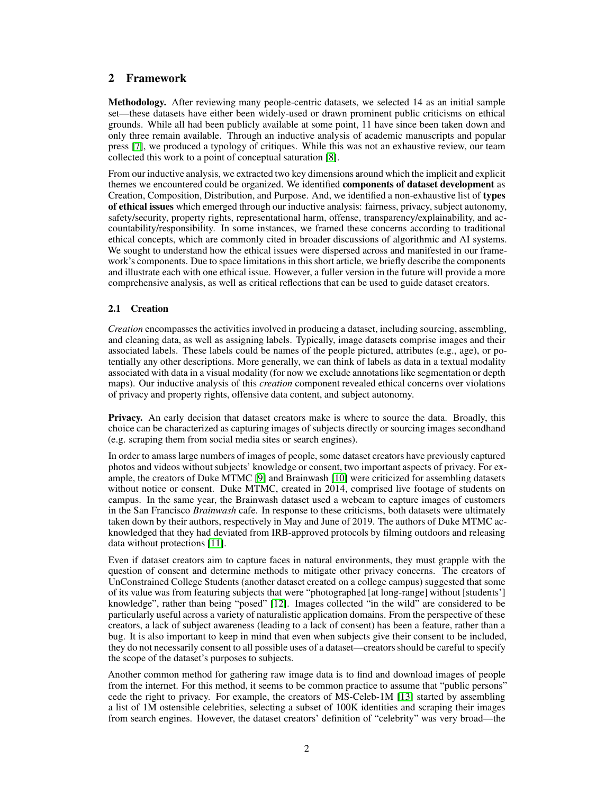# 2 Framework

Methodology. After reviewing many people-centric datasets, we selected 14 as an initial sample set—these datasets have either been widely-used or drawn prominent public criticisms on ethical grounds. While all had been publicly available at some point, 11 have since been taken down and only three remain available. Through an inductive analysis of academic manuscripts and popular press [\[7\]](#page-4-6), we produced a typology of critiques. While this was not an exhaustive review, our team collected this work to a point of conceptual saturation [\[8\]](#page-4-7).

From our inductive analysis, we extracted two key dimensions around which the implicit and explicit themes we encountered could be organized. We identified components of dataset development as Creation, Composition, Distribution, and Purpose. And, we identified a non-exhaustive list of types of ethical issues which emerged through our inductive analysis: fairness, privacy, subject autonomy, safety/security, property rights, representational harm, offense, transparency/explainability, and accountability/responsibility. In some instances, we framed these concerns according to traditional ethical concepts, which are commonly cited in broader discussions of algorithmic and AI systems. We sought to understand how the ethical issues were dispersed across and manifested in our framework's components. Due to space limitations in this short article, we briefly describe the components and illustrate each with one ethical issue. However, a fuller version in the future will provide a more comprehensive analysis, as well as critical reflections that can be used to guide dataset creators.

#### 2.1 Creation

*Creation* encompasses the activities involved in producing a dataset, including sourcing, assembling, and cleaning data, as well as assigning labels. Typically, image datasets comprise images and their associated labels. These labels could be names of the people pictured, attributes (e.g., age), or potentially any other descriptions. More generally, we can think of labels as data in a textual modality associated with data in a visual modality (for now we exclude annotations like segmentation or depth maps). Our inductive analysis of this *creation* component revealed ethical concerns over violations of privacy and property rights, offensive data content, and subject autonomy.

Privacy. An early decision that dataset creators make is where to source the data. Broadly, this choice can be characterized as capturing images of subjects directly or sourcing images secondhand (e.g. scraping them from social media sites or search engines).

In order to amass large numbers of images of people, some dataset creators have previously captured photos and videos without subjects' knowledge or consent, two important aspects of privacy. For example, the creators of Duke MTMC [\[9\]](#page-4-8) and Brainwash [\[10\]](#page-4-9) were criticized for assembling datasets without notice or consent. Duke MTMC, created in 2014, comprised live footage of students on campus. In the same year, the Brainwash dataset used a webcam to capture images of customers in the San Francisco *Brainwash* cafe. In response to these criticisms, both datasets were ultimately taken down by their authors, respectively in May and June of 2019. The authors of Duke MTMC acknowledged that they had deviated from IRB-approved protocols by filming outdoors and releasing data without protections [\[11\]](#page-4-10).

Even if dataset creators aim to capture faces in natural environments, they must grapple with the question of consent and determine methods to mitigate other privacy concerns. The creators of UnConstrained College Students (another dataset created on a college campus) suggested that some of its value was from featuring subjects that were "photographed [at long-range] without [students'] knowledge", rather than being "posed" [\[12\]](#page-4-11). Images collected "in the wild" are considered to be particularly useful across a variety of naturalistic application domains. From the perspective of these creators, a lack of subject awareness (leading to a lack of consent) has been a feature, rather than a bug. It is also important to keep in mind that even when subjects give their consent to be included, they do not necessarily consent to all possible uses of a dataset—creators should be careful to specify the scope of the dataset's purposes to subjects.

Another common method for gathering raw image data is to find and download images of people from the internet. For this method, it seems to be common practice to assume that "public persons" cede the right to privacy. For example, the creators of MS-Celeb-1M [\[13\]](#page-4-12) started by assembling a list of 1M ostensible celebrities, selecting a subset of 100K identities and scraping their images from search engines. However, the dataset creators' definition of "celebrity" was very broad—the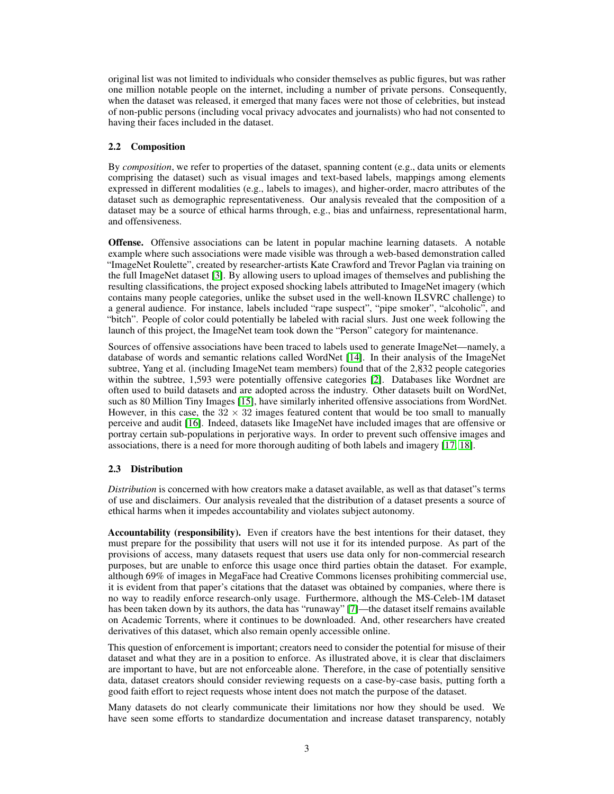original list was not limited to individuals who consider themselves as public figures, but was rather one million notable people on the internet, including a number of private persons. Consequently, when the dataset was released, it emerged that many faces were not those of celebrities, but instead of non-public persons (including vocal privacy advocates and journalists) who had not consented to having their faces included in the dataset.

#### 2.2 Composition

By *composition*, we refer to properties of the dataset, spanning content (e.g., data units or elements comprising the dataset) such as visual images and text-based labels, mappings among elements expressed in different modalities (e.g., labels to images), and higher-order, macro attributes of the dataset such as demographic representativeness. Our analysis revealed that the composition of a dataset may be a source of ethical harms through, e.g., bias and unfairness, representational harm, and offensiveness.

Offense. Offensive associations can be latent in popular machine learning datasets. A notable example where such associations were made visible was through a web-based demonstration called "ImageNet Roulette", created by researcher-artists Kate Crawford and Trevor Paglan via training on the full ImageNet dataset [\[3\]](#page-4-2). By allowing users to upload images of themselves and publishing the resulting classifications, the project exposed shocking labels attributed to ImageNet imagery (which contains many people categories, unlike the subset used in the well-known ILSVRC challenge) to a general audience. For instance, labels included "rape suspect", "pipe smoker", "alcoholic", and "bitch". People of color could potentially be labeled with racial slurs. Just one week following the launch of this project, the ImageNet team took down the "Person" category for maintenance.

Sources of offensive associations have been traced to labels used to generate ImageNet—namely, a database of words and semantic relations called WordNet [\[14\]](#page-4-13). In their analysis of the ImageNet subtree, Yang et al. (including ImageNet team members) found that of the 2,832 people categories within the subtree, 1,593 were potentially offensive categories [\[2\]](#page-4-1). Databases like Wordnet are often used to build datasets and are adopted across the industry. Other datasets built on WordNet, such as 80 Million Tiny Images [\[15\]](#page-4-14), have similarly inherited offensive associations from WordNet. However, in this case, the  $32 \times 32$  images featured content that would be too small to manually perceive and audit [\[16\]](#page-4-15). Indeed, datasets like ImageNet have included images that are offensive or portray certain sub-populations in perjorative ways. In order to prevent such offensive images and associations, there is a need for more thorough auditing of both labels and imagery [\[17,](#page-4-16) [18\]](#page-4-17).

## 2.3 Distribution

*Distribution* is concerned with how creators make a dataset available, as well as that dataset"s terms of use and disclaimers. Our analysis revealed that the distribution of a dataset presents a source of ethical harms when it impedes accountability and violates subject autonomy.

Accountability (responsibility). Even if creators have the best intentions for their dataset, they must prepare for the possibility that users will not use it for its intended purpose. As part of the provisions of access, many datasets request that users use data only for non-commercial research purposes, but are unable to enforce this usage once third parties obtain the dataset. For example, although 69% of images in MegaFace had Creative Commons licenses prohibiting commercial use, it is evident from that paper's citations that the dataset was obtained by companies, where there is no way to readily enforce research-only usage. Furthermore, although the MS-Celeb-1M dataset has been taken down by its authors, the data has "runaway" [\[7\]](#page-4-6)—the dataset itself remains available on Academic Torrents, where it continues to be downloaded. And, other researchers have created derivatives of this dataset, which also remain openly accessible online.

This question of enforcement is important; creators need to consider the potential for misuse of their dataset and what they are in a position to enforce. As illustrated above, it is clear that disclaimers are important to have, but are not enforceable alone. Therefore, in the case of potentially sensitive data, dataset creators should consider reviewing requests on a case-by-case basis, putting forth a good faith effort to reject requests whose intent does not match the purpose of the dataset.

Many datasets do not clearly communicate their limitations nor how they should be used. We have seen some efforts to standardize documentation and increase dataset transparency, notably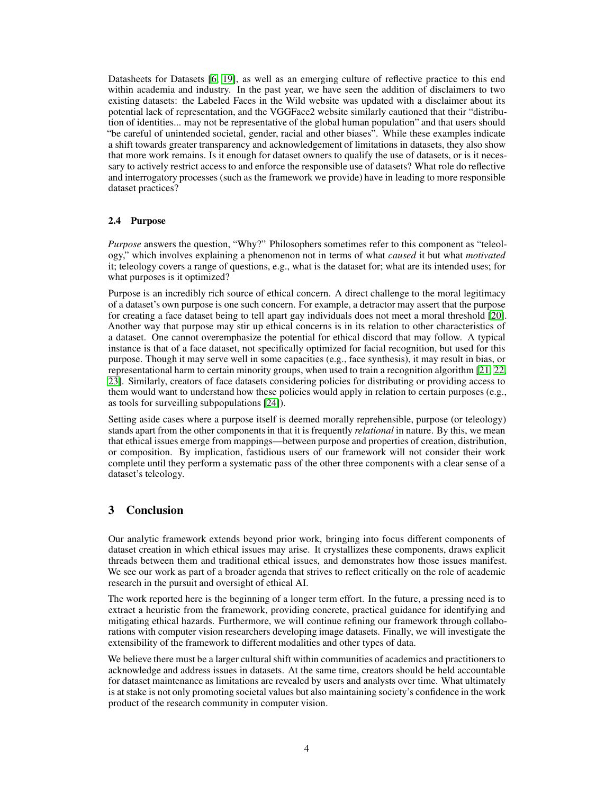Datasheets for Datasets [\[6,](#page-4-5) [19\]](#page-4-18), as well as an emerging culture of reflective practice to this end within academia and industry. In the past year, we have seen the addition of disclaimers to two existing datasets: the Labeled Faces in the Wild website was updated with a disclaimer about its potential lack of representation, and the VGGFace2 website similarly cautioned that their "distribution of identities... may not be representative of the global human population" and that users should "be careful of unintended societal, gender, racial and other biases". While these examples indicate a shift towards greater transparency and acknowledgement of limitations in datasets, they also show that more work remains. Is it enough for dataset owners to qualify the use of datasets, or is it necessary to actively restrict access to and enforce the responsible use of datasets? What role do reflective and interrogatory processes (such as the framework we provide) have in leading to more responsible dataset practices?

#### 2.4 Purpose

*Purpose* answers the question, "Why?" Philosophers sometimes refer to this component as "teleology," which involves explaining a phenomenon not in terms of what *caused* it but what *motivated* it; teleology covers a range of questions, e.g., what is the dataset for; what are its intended uses; for what purposes is it optimized?

Purpose is an incredibly rich source of ethical concern. A direct challenge to the moral legitimacy of a dataset's own purpose is one such concern. For example, a detractor may assert that the purpose for creating a face dataset being to tell apart gay individuals does not meet a moral threshold [\[20\]](#page-4-19). Another way that purpose may stir up ethical concerns is in its relation to other characteristics of a dataset. One cannot overemphasize the potential for ethical discord that may follow. A typical instance is that of a face dataset, not specifically optimized for facial recognition, but used for this purpose. Though it may serve well in some capacities (e.g., face synthesis), it may result in bias, or representational harm to certain minority groups, when used to train a recognition algorithm [\[21,](#page-4-20) [22,](#page-4-21) [23\]](#page-4-22). Similarly, creators of face datasets considering policies for distributing or providing access to them would want to understand how these policies would apply in relation to certain purposes (e.g., as tools for surveilling subpopulations [\[24\]](#page-4-23)).

Setting aside cases where a purpose itself is deemed morally reprehensible, purpose (or teleology) stands apart from the other components in that it is frequently *relational* in nature. By this, we mean that ethical issues emerge from mappings—between purpose and properties of creation, distribution, or composition. By implication, fastidious users of our framework will not consider their work complete until they perform a systematic pass of the other three components with a clear sense of a dataset's teleology.

# 3 Conclusion

Our analytic framework extends beyond prior work, bringing into focus different components of dataset creation in which ethical issues may arise. It crystallizes these components, draws explicit threads between them and traditional ethical issues, and demonstrates how those issues manifest. We see our work as part of a broader agenda that strives to reflect critically on the role of academic research in the pursuit and oversight of ethical AI.

The work reported here is the beginning of a longer term effort. In the future, a pressing need is to extract a heuristic from the framework, providing concrete, practical guidance for identifying and mitigating ethical hazards. Furthermore, we will continue refining our framework through collaborations with computer vision researchers developing image datasets. Finally, we will investigate the extensibility of the framework to different modalities and other types of data.

We believe there must be a larger cultural shift within communities of academics and practitioners to acknowledge and address issues in datasets. At the same time, creators should be held accountable for dataset maintenance as limitations are revealed by users and analysts over time. What ultimately is at stake is not only promoting societal values but also maintaining society's confidence in the work product of the research community in computer vision.